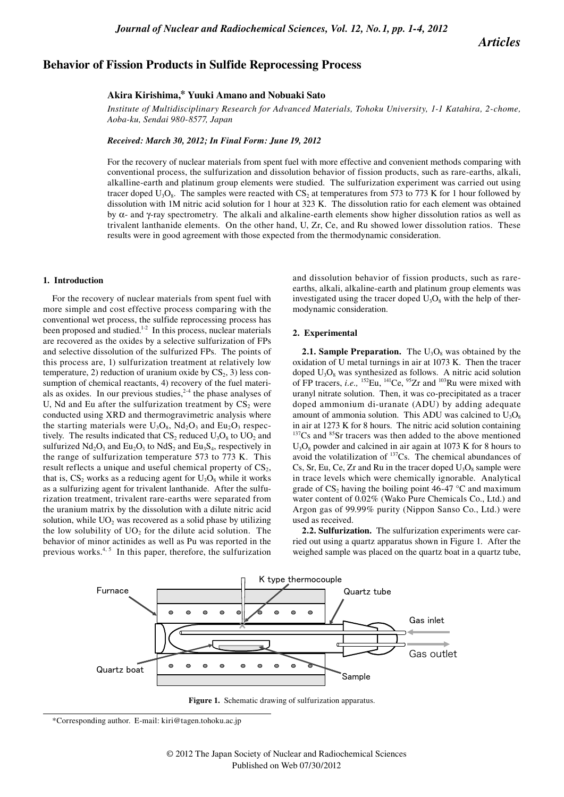*Articles*

# **Behavior of Fission Products in Sulfide Reprocessing Process**

## **Akira Kirishima,\* Yuuki Amano and Nobuaki Sato**

*Institute of Multidisciplinary Research for Advanced Materials, Tohoku University, 1-1 Katahira, 2-chome, Aoba-ku, Sendai 980-8577, Japan*

*Received: March 30, 2012; In Final Form: June 19, 2012*

For the recovery of nuclear materials from spent fuel with more effective and convenient methods comparing with conventional process, the sulfurization and dissolution behavior of fission products, such as rare-earths, alkali, alkalline-earth and platinum group elements were studied. The sulfurization experiment was carried out using tracer doped  $U_3O_8$ . The samples were reacted with CS<sub>2</sub> at temperatures from 573 to 773 K for 1 hour followed by dissolution with 1M nitric acid solution for 1 hour at 323 K. The dissolution ratio for each element was obtained by α- and γ-ray spectrometry. The alkali and alkaline-earth elements show higher dissolution ratios as well as trivalent lanthanide elements. On the other hand, U, Zr, Ce, and Ru showed lower dissolution ratios. These results were in good agreement with those expected from the thermodynamic consideration.

### **1. Introduction**

For the recovery of nuclear materials from spent fuel with more simple and cost effective process comparing with the conventional wet process, the sulfide reprocessing process has been proposed and studied.<sup>1-2</sup> In this process, nuclear materials are recovered as the oxides by a selective sulfurization of FPs and selective dissolution of the sulfurized FPs. The points of this process are, 1) sulfurization treatment at relatively low temperature, 2) reduction of uranium oxide by  $CS_2$ , 3) less consumption of chemical reactants, 4) recovery of the fuel materials as oxides. In our previous studies, $2-4$  the phase analyses of U, Nd and Eu after the sulfurization treatment by  $CS_2$  were conducted using XRD and thermogravimetric analysis where the starting materials were  $U_3O_8$ ,  $Nd_2O_3$  and  $Eu_2O_3$  respectively. The results indicated that  $CS_2$  reduced  $U_3O_8$  to  $UO_2$  and sulfurized  $Nd_2O_3$  and  $Eu_2O_3$  to  $NdS_2$  and  $Eu_3S_4$ , respectively in the range of sulfurization temperature 573 to 773 K. This result reflects a unique and useful chemical property of  $CS<sub>2</sub>$ , that is,  $CS_2$  works as a reducing agent for  $U_3O_8$  while it works as a sulfurizing agent for trivalent lanthanide. After the sulfurization treatment, trivalent rare-earths were separated from the uranium matrix by the dissolution with a dilute nitric acid solution, while  $UO<sub>2</sub>$  was recovered as a solid phase by utilizing the low solubility of  $UO<sub>2</sub>$  for the dilute acid solution. The behavior of minor actinides as well as Pu was reported in the previous works.<sup>4, 5</sup> In this paper, therefore, the sulfurization

and dissolution behavior of fission products, such as rareearths, alkali, alkaline-earth and platinum group elements was investigated using the tracer doped  $U_3O_8$  with the help of thermodynamic consideration.

#### **2. Experimental**

**2.1. Sample Preparation.** The  $U_3O_8$  was obtained by the oxidation of U metal turnings in air at 1073 K. Then the tracer doped  $U_3O_8$  was synthesized as follows. A nitric acid solution of FP tracers, *i.e.*, <sup>152</sup>Eu, <sup>141</sup>Ce, <sup>95</sup>Zr and <sup>103</sup>Ru were mixed with uranyl nitrate solution. Then, it was co-precipitated as a tracer doped ammonium di-uranate (ADU) by adding adequate amount of ammonia solution. This ADU was calcined to  $U_3O_8$ in air at 1273 K for 8 hours. The nitric acid solution containing  $137Cs$  and  $85Sr$  tracers was then added to the above mentioned  $U_3O_8$  powder and calcined in air again at 1073 K for 8 hours to avoid the volatilization of 137Cs. The chemical abundances of Cs, Sr, Eu, Ce, Zr and Ru in the tracer doped  $U_3O_8$  sample were in trace levels which were chemically ignorable. Analytical grade of  $CS_2$  having the boiling point 46-47  $\degree$ C and maximum water content of 0.02% (Wako Pure Chemicals Co., Ltd.) and Argon gas of 99.99% purity (Nippon Sanso Co., Ltd.) were used as received.

**2.2. Sulfurization.** The sulfurization experiments were carried out using a quartz apparatus shown in Figure 1. After the weighed sample was placed on the quartz boat in a quartz tube,



**Figure 1.** Schematic drawing of sulfurization apparatus.

<sup>\*</sup>Corresponding author. E-mail: kiri@tagen.tohoku.ac.jp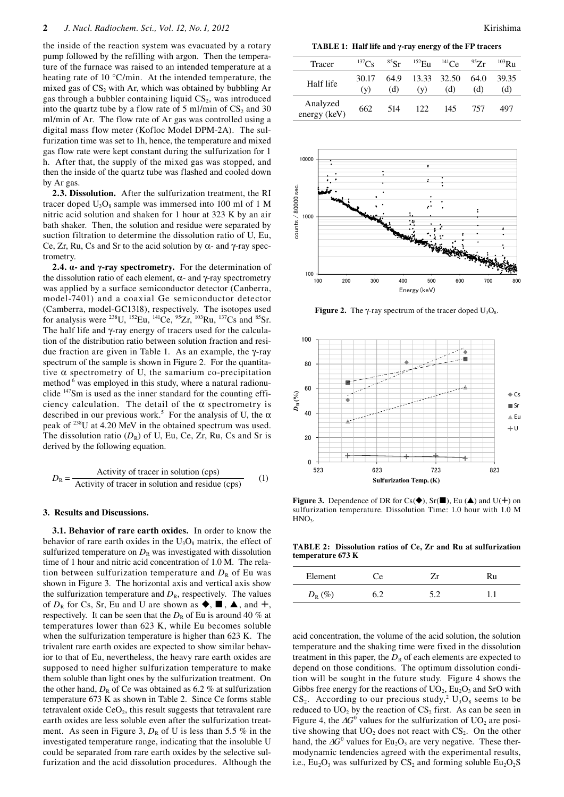the inside of the reaction system was evacuated by a rotary pump followed by the refilling with argon. Then the temperature of the furnace was raised to an intended temperature at a heating rate of 10 °C/min. At the intended temperature, the mixed gas of  $CS_2$  with Ar, which was obtained by bubbling Ar gas through a bubbler containing liquid  $CS<sub>2</sub>$ , was introduced into the quartz tube by a flow rate of 5 ml/min of  $CS_2$  and 30 ml/min of Ar. The flow rate of Ar gas was controlled using a digital mass flow meter (Kofloc Model DPM-2A). The sulfurization time was set to 1h, hence, the temperature and mixed gas flow rate were kept constant during the sulfurization for 1 h. After that, the supply of the mixed gas was stopped, and then the inside of the quartz tube was flashed and cooled down by Ar gas.

**2.3. Dissolution.** After the sulfurization treatment, the RI tracer doped  $U_3O_8$  sample was immersed into 100 ml of 1 M nitric acid solution and shaken for 1 hour at 323 K by an air bath shaker. Then, the solution and residue were separated by suction filtration to determine the dissolution ratio of U, Eu, Ce, Zr, Ru, Cs and Sr to the acid solution by α- and γ-ray spectrometry.

**2.4. α- and γ-ray spectrometry.** For the determination of the dissolution ratio of each element,  $\alpha$ - and γ-ray spectrometry was applied by a surface semiconductor detector (Canberra, model-7401) and a coaxial Ge semiconductor detector (Camberra, model-GC1318), respectively. The isotopes used for analysis were <sup>238</sup>U, <sup>152</sup>Eu, <sup>141</sup>Ce, <sup>95</sup>Zr, <sup>103</sup>Ru, <sup>137</sup>Cs and <sup>85</sup>Sr. The half life and γ-ray energy of tracers used for the calculation of the distribution ratio between solution fraction and residue fraction are given in Table 1. As an example, the γ-ray spectrum of the sample is shown in Figure 2. For the quantitative  $\alpha$  spectrometry of U, the samarium co-precipitation method <sup>6</sup> was employed in this study, where a natural radionuclide 147Sm is used as the inner standard for the counting efficiency calculation. The detail of the  $\alpha$  spectrometry is described in our previous work.<sup>5</sup> For the analysis of U, the  $\alpha$ peak of 238U at 4.20 MeV in the obtained spectrum was used. The dissolution ratio  $(D_R)$  of U, Eu, Ce, Zr, Ru, Cs and Sr is derived by the following equation.

$$
D_{\rm R} = \frac{\text{Activity of tracer in solution (cps)}}{\text{Activity of tracer in solution and residue (cps)}} \tag{1}
$$

### **3. Results and Discussions.**

**3.1. Behavior of rare earth oxides.** In order to know the behavior of rare earth oxides in the  $U_3O_8$  matrix, the effect of sulfurized temperature on  $D_R$  was investigated with dissolution time of 1 hour and nitric acid concentration of 1.0 M. The relation between sulfurization temperature and  $D_R$  of Eu was shown in Figure 3. The horizontal axis and vertical axis show the sulfurization temperature and  $D_R$ , respectively. The values of  $D_R$  for Cs, Sr, Eu and U are shown as  $\blacklozenge$ ,  $\blacksquare$ ,  $\blacktriangle$ , and  $\dashv$ , respectively. It can be seen that the  $D_R$  of Eu is around 40 % at temperatures lower than 623 K, while Eu becomes soluble when the sulfurization temperature is higher than 623 K. The trivalent rare earth oxides are expected to show similar behavior to that of Eu, nevertheless, the heavy rare earth oxides are supposed to need higher sulfurization temperature to make them soluble than light ones by the sulfurization treatment. On the other hand,  $D_R$  of Ce was obtained as 6.2 % at sulfurization temperature 673 K as shown in Table 2. Since Ce forms stable tetravalent oxide  $CeO<sub>2</sub>$ , this result suggests that tetravalent rare earth oxides are less soluble even after the sulfurization treatment. As seen in Figure 3,  $D_R$  of U is less than 5.5 % in the investigated temperature range, indicating that the insoluble U could be separated from rare earth oxides by the selective sulfurization and the acid dissolution procedures. Although the

**TABLE 1: Half life and γ-ray energy of the FP tracers**

| Tracer                   | $^{137}$ Cs  | ${}^{85}Sr$ | $^{152}$ E11 | $^{141}$ Ce        | 957r        | $^{103}$ R <sub>11</sub> |
|--------------------------|--------------|-------------|--------------|--------------------|-------------|--------------------------|
| Half life                | 30.17<br>(v) | 64.9<br>(d) | (v)          | 13.33 32.50<br>(d) | 64.0<br>(d) | 39.35<br>(d)             |
| Analyzed<br>energy (keV) | 662          | 514         | 122.         | 145                | 757         | 497                      |



**Figure 2.** The  $\gamma$ -ray spectrum of the tracer doped  $U_3O_8$ .



**Figure 3.** Dependence of DR for Cs( $\blacklozenge$ ), Sr( $\blacksquare$ ), Eu ( $\blacktriangle$ ) and U( $+$ ) on sulfurization temperature. Dissolution Time: 1.0 hour with 1.0 M  $HNO<sub>3</sub>$ .

**TABLE 2: Dissolution ratios of Ce, Zr and Ru at sulfurization temperature 673 K**

| Element            | e. | , |  |
|--------------------|----|---|--|
| (0)<br>D<br>$\sim$ |    |   |  |

acid concentration, the volume of the acid solution, the solution temperature and the shaking time were fixed in the dissolution treatment in this paper, the  $D_R$  of each elements are expected to depend on those conditions. The optimum dissolution condition will be sought in the future study. Figure 4 shows the Gibbs free energy for the reactions of  $UO_2$ ,  $Eu_2O_3$  and SrO with  $CS_2$ . According to our precious study,<sup>2</sup>  $U_3O_8$  seems to be reduced to  $UO<sub>2</sub>$  by the reaction of  $CS<sub>2</sub>$  first. As can be seen in Figure 4, the  $\Delta G^0$  values for the sulfurization of UO<sub>2</sub> are positive showing that  $UO_2$  does not react with  $CS_2$ . On the other hand, the  $\Delta G^0$  values for Eu<sub>2</sub>O<sub>3</sub> are very negative. These thermodynamic tendencies agreed with the experimental results, i.e.,  $Eu_2O_3$  was sulfurized by  $CS_2$  and forming soluble  $Eu_2O_2S$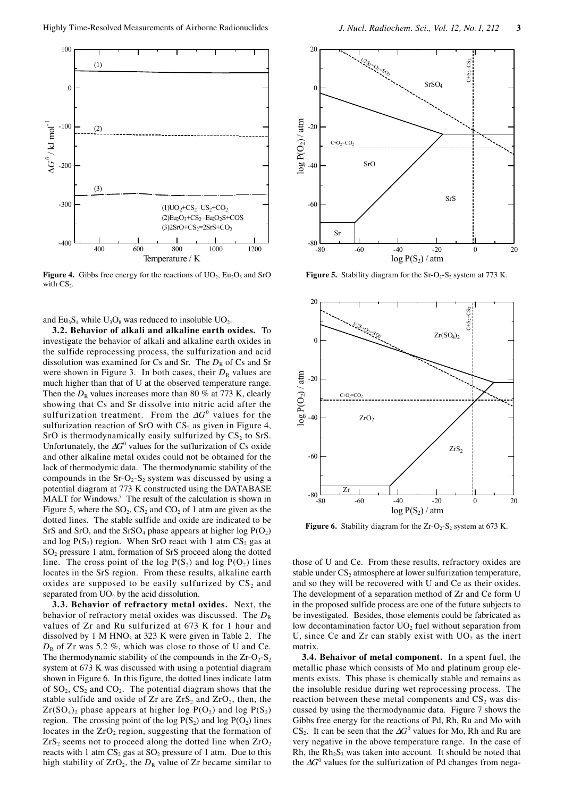

**Figure 4.** Gibbs free energy for the reactions of  $UO_2$ ,  $Eu_2O_3$  and SrO with  $CS_2$ .

and  $Eu_3S_4$  while  $U_3O_8$  was reduced to insoluble  $UO_2$ .

**3.2. Behavior of alkali and alkaline earth oxides.** To investigate the behavior of alkali and alkaline earth oxides in the sulfide reprocessing process, the sulfurization and acid dissolution was examined for Cs and Sr. The  $D_R$  of Cs and Sr were shown in Figure 3. In both cases, their  $D_R$  values are much higher than that of U at the observed temperature range. Then the  $D_R$  values increases more than 80 % at 773 K, clearly showing that Cs and Sr dissolve into nitric acid after the sulfurization treatment. From the ∆*G*<sup>0</sup> values for the sulfurization reaction of SrO with  $CS_2$  as given in Figure 4, SrO is thermodynamically easily sulfurized by  $CS_2$  to SrS. Unfortunately, the ∆*G*<sup>0</sup> values for the suflurization of Cs oxide and other alkaline metal oxides could not be obtained for the lack of thermodymic data. The thermodynamic stability of the compounds in the  $Sr-O_2-S_2$  system was discussed by using a potential diagram at 773 K constructed using the DATABASE MALT for Windows.<sup>7</sup> The result of the calculation is shown in Figure 5, where the  $SO_2$ ,  $CS_2$  and  $CO_2$  of 1 atm are given as the dotted lines. The stable sulfide and oxide are indicated to be SrS and SrO, and the SrSO<sub>4</sub> phase appears at higher  $log P(O_2)$ and log  $P(S_2)$  region. When SrO react with 1 atm  $CS_2$  gas at SO2 pressure 1 atm, formation of SrS proceed along the dotted line. The cross point of the log  $P(S_2)$  and log  $P(O_2)$  lines locates in the SrS region. From these results, alkaline earth oxides are supposed to be easily sulfurized by  $CS_2$  and separated from  $UO<sub>2</sub>$  by the acid dissolution.

**3.3. Behavior of refractory metal oxides.** Next, the behavior of refractory metal oxides was discussed. The  $D_R$ values of Zr and Ru sulfurized at 673 K for 1 hour and dissolved by 1 M  $HNO<sub>3</sub>$  at 323 K were given in Table 2. The  $D_R$  of Zr was 5.2 %, which was close to those of U and Ce. The thermodynamic stability of the compounds in the  $Zr-O_2-S_2$ system at 673 K was discussed with using a potential diagram shown in Figure 6. In this figure, the dotted lines indicate 1atm of  $SO_2$ ,  $CS_2$  and  $CO_2$ . The potential diagram shows that the stable sulfide and oxide of  $Zr$  are  $ZrS_2$  and  $ZrO_2$ , then, the  $Zr(SO_4)$ , phase appears at higher log  $P(O_2)$  and log  $P(S_2)$ region. The crossing point of the log  $P(S_2)$  and log  $P(O_2)$  lines locates in the  $ZrO<sub>2</sub>$  region, suggesting that the formation of  $ZrS<sub>2</sub>$  seems not to proceed along the dotted line when  $ZrO<sub>2</sub>$ reacts with 1 atm  $CS_2$  gas at  $SO_2$  pressure of 1 atm. Due to this high stability of  $ZrO_2$ , the  $D_R$  value of  $Zr$  became similar to



**Figure 5.** Stability diagram for the  $Sr-O<sub>2</sub>-S<sub>2</sub>$  system at 773 K.



**Figure 6.** Stability diagram for the  $Zr-O_2-S_2$  system at 673 K.

those of U and Ce. From these results, refractory oxides are stable under  $CS_2$  atmosphere at lower sulfurization temperature, and so they will be recovered with U and Ce as their oxides. The development of a separation method of Zr and Ce form U in the proposed sulfide process are one of the future subjects to be investigated. Besides, those elements could be fabricated as low decontamination factor  $UO<sub>2</sub>$  fuel without separation from U, since Ce and Zr can stably exist with  $UO<sub>2</sub>$  as the inert matrix.

**3.4. Behaivor of metal component.** In a spent fuel, the metallic phase which consists of Mo and platinum group elements exists. This phase is chemically stable and remains as the insoluble residue during wet reprocessing process. The reaction between these metal components and  $CS<sub>2</sub>$  was discussed by using the thermodynamic data. Figure 7 shows the Gibbs free energy for the reactions of Pd, Rh, Ru and Mo with  $CS_2$ . It can be seen that the  $\Delta G^0$  values for Mo, Rh and Ru are very negative in the above temperature range. In the case of Rh, the  $Rh<sub>2</sub>S<sub>3</sub>$  was taken into account. It should be noted that the ∆*G*<sup>0</sup> values for the sulfurization of Pd changes from nega-